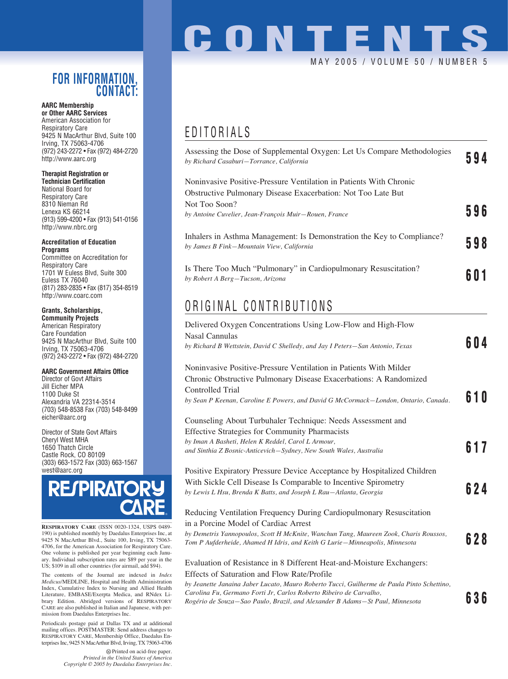## **FOR INFORMATION, CONTACT:**

**AARC Membership or Other AARC Services** American Association for Respiratory Care 9425 N MacArthur Blvd, Suite 100 Irving, TX 75063-4706 (972) 243-2272 • Fax (972) 484-2720 http://www.aarc.org

#### **Therapist Registration or**

**Technician Certification** National Board for Respiratory Care 8310 Nieman Rd Lenexa KS 66214 (913) 599-4200 • Fax (913) 541-0156 http://www.nbrc.org

#### **Accreditation of Education Programs**

Committee on Accreditation for Respiratory Care 1701 W Euless Blvd, Suite 300 Euless TX 76040 (817) 283-2835 • Fax (817) 354-8519 http://www.coarc.com

### **Grants, Scholarships,**

**Community Projects** American Respiratory Care Foundation 9425 N MacArthur Blvd, Suite 100 Irving, TX 75063-4706 (972) 243-2272 • Fax (972) 484-2720

#### **AARC Government Affairs Office**

Director of Govt Affairs Jill Eicher MPA 1100 Duke St Alexandria VA 22314-3514 (703) 548-8538 Fax (703) 548-8499 eicher@aarc.org

Director of State Govt Affairs Cheryl West MHA 1650 Thatch Circle Castle Rock, CO 80109 (303) 663-1572 Fax (303) 663-1567 west@aarc.org



**RESPIRATORY CARE** (ISSN 0020-1324, USPS 0489- 190) is published monthly by Daedalus Enterprises Inc, at 9425 N MacArthur Blvd., Suite 100, Irving, TX 75063- 4706, for the American Association for Respiratory Care. One volume is published per year beginning each January. Individual subscription rates are \$89 per year in the US; \$109 in all other countries (for airmail, add \$94).

The contents of the Journal are indexed in *Index Medicus*/MEDLINE, Hospital and Health Administration Index, Cumulative Index to Nursing and Allied Health Literature, EMBASE/Exerpta Medica, and RNdex Library Edition. Abridged versions of RESPIRATORY CARE are also published in Italian and Japanese, with permission from Daedalus Enterprises Inc.

Periodicals postage paid at Dallas TX and at additional mailing offices. POSTMASTER: Send address changes to RESPIRATORY CARE, Membership Office, Daedalus Enterprises Inc, 9425 N MacArthur Blvd, Irving, TX 75063-4706

> Printed on acid-free paper. *Printed in the United States of America Copyright © 2005 by Daedalus Enterprises Inc.*

# **CONTENT** MAY 2005 / VOLUME 50 / NUMBER 5

# EDITORIALS

| Assessing the Dose of Supplemental Oxygen: Let Us Compare Methodologies<br>by Richard Casaburi-Torrance, California                 | 594   |
|-------------------------------------------------------------------------------------------------------------------------------------|-------|
| Noninvasive Positive-Pressure Ventilation in Patients With Chronic<br>Obstructive Pulmonary Disease Exacerbation: Not Too Late But  |       |
| Not Too Soon?<br>by Antoine Cuvelier, Jean-François Muir-Rouen, France                                                              | 596   |
| Inhalers in Asthma Management: Is Demonstration the Key to Compliance?<br>by James B Fink-Mountain View, California                 | 598   |
| Is There Too Much "Pulmonary" in Cardiopulmonary Resuscitation?<br>by Robert A Berg-Tucson, Arizona                                 | 601   |
| ORIGINAL CONTRIBUTIONS                                                                                                              |       |
| Delivered Oxygen Concentrations Using Low-Flow and High-Flow                                                                        |       |
| Nasal Cannulas<br>by Richard B Wettstein, David C Shelledy, and Jay I Peters-San Antonio, Texas                                     | 6 N 4 |
| Noninvasive Positive-Pressure Ventilation in Patients With Milder                                                                   |       |
| Chronic Obstructive Pulmonary Disease Exacerbations: A Randomized<br><b>Controlled Trial</b>                                        |       |
| by Sean P Keenan, Caroline E Powers, and David G McCormack-London, Ontario, Canada.                                                 | 61 O  |
| Counseling About Turbuhaler Technique: Needs Assessment and                                                                         |       |
| <b>Effective Strategies for Community Pharmacists</b>                                                                               |       |
| by Iman A Basheti, Helen K Reddel, Carol L Armour,<br>and Sinthia Z Bosnic-Anticevich-Sydney, New South Wales, Australia            | 617   |
| Positive Expiratory Pressure Device Acceptance by Hospitalized Children                                                             |       |
| With Sickle Cell Disease Is Comparable to Incentive Spirometry<br>by Lewis L Hsu, Brenda K Batts, and Joseph L Rau-Atlanta, Georgia | 624   |

### Reducing Ventilation Frequency During Cardiopulmonary Resuscitation in a Porcine Model of Cardiac Arrest

*by Demetris Yannopoulos, Scott H McKnite, Wanchun Tang, Maureen Zook, Charis Roussos, Tom P Aufderheide, Ahamed H Idris, and Keith G Lurie—Minneapolis, Minnesota* **628**

Evaluation of Resistance in 8 Different Heat-and-Moisture Exchangers: Effects of Saturation and Flow Rate/Profile

*by Jeanette Janaina Jaber Lucato, Mauro Roberto Tucci, Guilherme de Paula Pinto Schettino, Carolina Fu, Germano Forti Jr, Carlos Roberto Ribeiro de Carvalho, Rogério de Souza—Sao Paulo, Brazil, and Alexander B Adams—St Paul, Minnesota* **636**